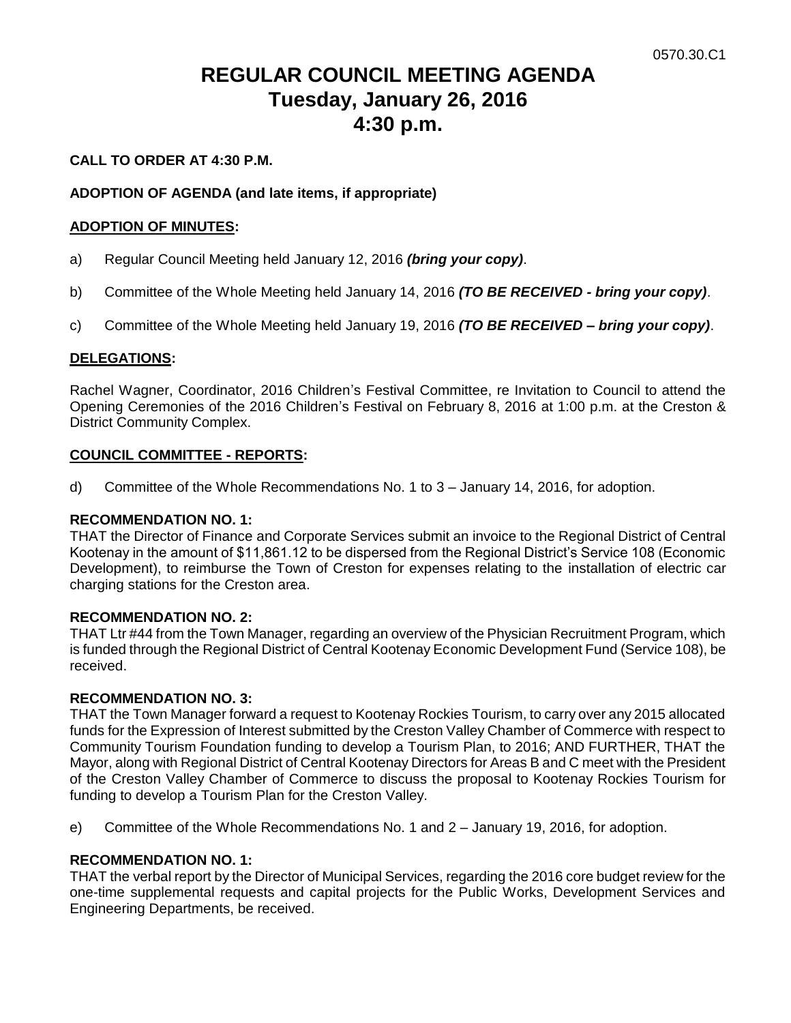# **REGULAR COUNCIL MEETING AGENDA Tuesday, January 26, 2016 4:30 p.m.**

# **CALL TO ORDER AT 4:30 P.M.**

# **ADOPTION OF AGENDA (and late items, if appropriate)**

### **ADOPTION OF MINUTES:**

- a) Regular Council Meeting held January 12, 2016 *(bring your copy)*.
- b) Committee of the Whole Meeting held January 14, 2016 *(TO BE RECEIVED - bring your copy)*.
- c) Committee of the Whole Meeting held January 19, 2016 *(TO BE RECEIVED – bring your copy)*.

# **DELEGATIONS:**

Rachel Wagner, Coordinator, 2016 Children's Festival Committee, re Invitation to Council to attend the Opening Ceremonies of the 2016 Children's Festival on February 8, 2016 at 1:00 p.m. at the Creston & District Community Complex.

### **COUNCIL COMMITTEE - REPORTS:**

d) Committee of the Whole Recommendations No. 1 to 3 – January 14, 2016, for adoption.

### **RECOMMENDATION NO. 1:**

THAT the Director of Finance and Corporate Services submit an invoice to the Regional District of Central Kootenay in the amount of \$11,861.12 to be dispersed from the Regional District's Service 108 (Economic Development), to reimburse the Town of Creston for expenses relating to the installation of electric car charging stations for the Creston area.

### **RECOMMENDATION NO. 2:**

THAT Ltr #44 from the Town Manager, regarding an overview of the Physician Recruitment Program, which is funded through the Regional District of Central Kootenay Economic Development Fund (Service 108), be received.

### **RECOMMENDATION NO. 3:**

THAT the Town Manager forward a request to Kootenay Rockies Tourism, to carry over any 2015 allocated funds for the Expression of Interest submitted by the Creston Valley Chamber of Commerce with respect to Community Tourism Foundation funding to develop a Tourism Plan, to 2016; AND FURTHER, THAT the Mayor, along with Regional District of Central Kootenay Directors for Areas B and C meet with the President of the Creston Valley Chamber of Commerce to discuss the proposal to Kootenay Rockies Tourism for funding to develop a Tourism Plan for the Creston Valley.

e) Committee of the Whole Recommendations No. 1 and 2 – January 19, 2016, for adoption.

### **RECOMMENDATION NO. 1:**

THAT the verbal report by the Director of Municipal Services, regarding the 2016 core budget review for the one-time supplemental requests and capital projects for the Public Works, Development Services and Engineering Departments, be received.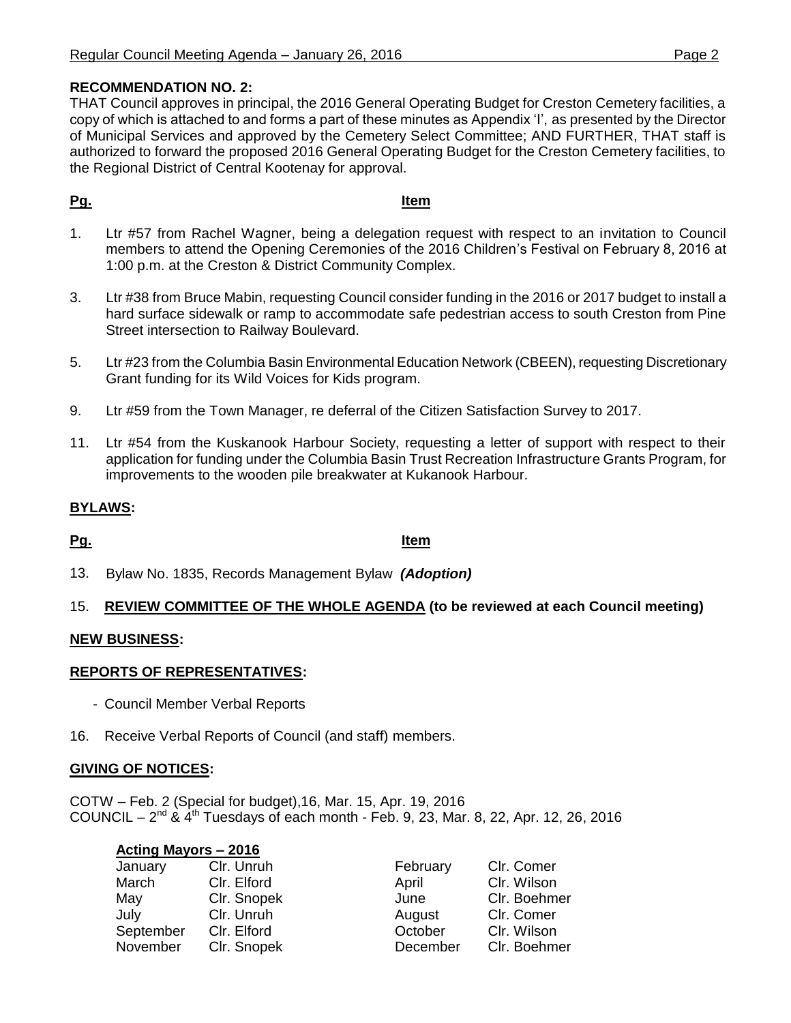THAT Council approves in principal, the 2016 General Operating Budget for Creston Cemetery facilities, a copy of which is attached to and forms a part of these minutes as Appendix 'I', as presented by the Director of Municipal Services and approved by the Cemetery Select Committee; AND FURTHER, THAT staff is authorized to forward the proposed 2016 General Operating Budget for the Creston Cemetery facilities, to the Regional District of Central Kootenay for approval.

# **Pg. Item**

- 1. Ltr #57 from Rachel Wagner, being a delegation request with respect to an invitation to Council members to attend the Opening Ceremonies of the 2016 Children's Festival on February 8, 2016 at 1:00 p.m. at the Creston & District Community Complex.
- 3. Ltr #38 from Bruce Mabin, requesting Council consider funding in the 2016 or 2017 budget to install a hard surface sidewalk or ramp to accommodate safe pedestrian access to south Creston from Pine Street intersection to Railway Boulevard.
- 5. Ltr #23 from the Columbia Basin Environmental Education Network (CBEEN), requesting Discretionary Grant funding for its Wild Voices for Kids program.
- 9. Ltr #59 from the Town Manager, re deferral of the Citizen Satisfaction Survey to 2017.
- 11. Ltr #54 from the Kuskanook Harbour Society, requesting a letter of support with respect to their application for funding under the Columbia Basin Trust Recreation Infrastructure Grants Program, for improvements to the wooden pile breakwater at Kukanook Harbour.

# **BYLAWS:**

**Pg. Item**

13. Bylaw No. 1835, Records Management Bylaw *(Adoption)*

# 15. **REVIEW COMMITTEE OF THE WHOLE AGENDA (to be reviewed at each Council meeting)**

# **NEW BUSINESS:**

# **REPORTS OF REPRESENTATIVES:**

- Council Member Verbal Reports
- 16. Receive Verbal Reports of Council (and staff) members.

### **GIVING OF NOTICES:**

COTW – Feb. 2 (Special for budget),16, Mar. 15, Apr. 19, 2016 COUNCIL –  $2^{nd}$  &  $4^{th}$  Tuesdays of each month - Feb. 9, 23, Mar. 8, 22, Apr. 12, 26, 2016

### **Acting Mayors – 2016**

| January   | Clr. Unruh  | February | Clr. Comer   |
|-----------|-------------|----------|--------------|
| March     | Clr. Elford | April    | Clr. Wilson  |
| May       | Clr. Snopek | June     | Clr. Boehmer |
| July      | Clr. Unruh  | August   | Clr. Comer   |
| September | Clr. Elford | October  | Clr. Wilson  |
| November  | Clr. Snopek | December | Clr. Boehmer |